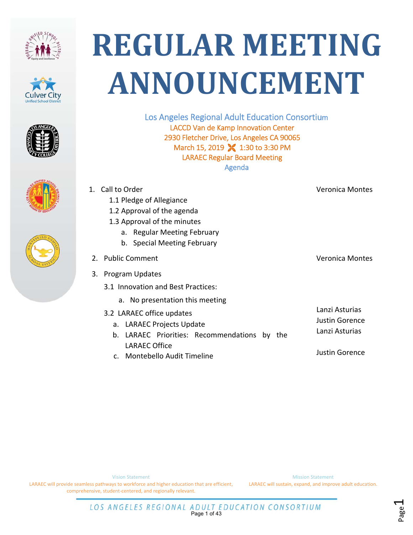









Los Angeles Regional Adult Education Consortium LACCD Van de Kamp Innovation Center 2930 Fletcher Drive, Los Angeles CA 90065 March 15, 2019 **X** 1:30 to 3:30 PM LARAEC Regular Board Meeting Agenda

|    | 1. Call to Order                                   | Veronica Montes                                           |
|----|----------------------------------------------------|-----------------------------------------------------------|
|    | 1.1 Pledge of Allegiance                           |                                                           |
|    | 1.2 Approval of the agenda                         |                                                           |
|    | 1.3 Approval of the minutes                        |                                                           |
|    | a. Regular Meeting February                        |                                                           |
|    | b. Special Meeting February                        |                                                           |
|    | 2. Public Comment                                  | <b>Veronica Montes</b>                                    |
| 3. | <b>Program Updates</b>                             |                                                           |
|    | 3.1 Innovation and Best Practices:                 |                                                           |
|    | a. No presentation this meeting                    |                                                           |
|    | 3.2 LARAEC office updates                          | Lanzi Asturias<br><b>Justin Gorence</b><br>Lanzi Asturias |
|    | a. LARAEC Projects Update                          |                                                           |
|    | LARAEC Priorities: Recommendations by<br>b.<br>the |                                                           |
|    | LARAEC Office                                      |                                                           |

c. Montebello Audit Timeline

Justin Gorence

Page1

Vision Statement

LARAEC will provide seamless pathways to workforce and higher education that are efficient, comprehensive, student‐centered, and regionally relevant.

Mission Statement LARAEC will sustain, expand, and improve adult education.